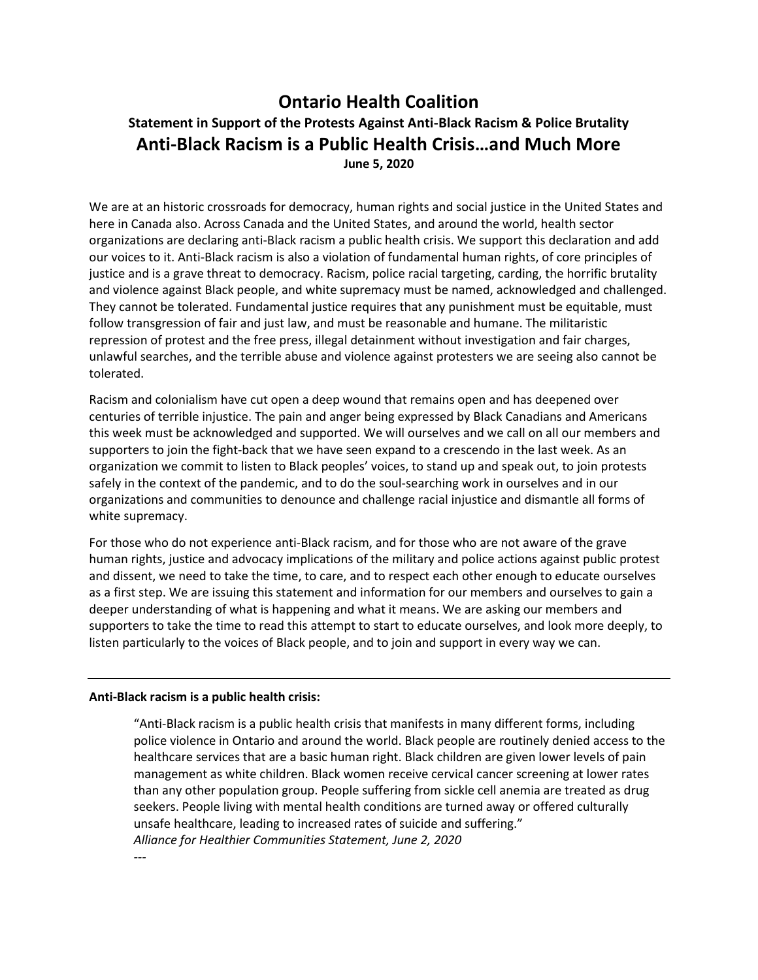# **Ontario Health Coalition Statement in Support of the Protests Against Anti-Black Racism & Police Brutality Anti-Black Racism is a Public Health Crisis…and Much More June 5, 2020**

We are at an historic crossroads for democracy, human rights and social justice in the United States and here in Canada also. Across Canada and the United States, and around the world, health sector organizations are declaring anti-Black racism a public health crisis. We support this declaration and add our voices to it. Anti-Black racism is also a violation of fundamental human rights, of core principles of justice and is a grave threat to democracy. Racism, police racial targeting, carding, the horrific brutality and violence against Black people, and white supremacy must be named, acknowledged and challenged. They cannot be tolerated. Fundamental justice requires that any punishment must be equitable, must follow transgression of fair and just law, and must be reasonable and humane. The militaristic repression of protest and the free press, illegal detainment without investigation and fair charges, unlawful searches, and the terrible abuse and violence against protesters we are seeing also cannot be tolerated.

Racism and colonialism have cut open a deep wound that remains open and has deepened over centuries of terrible injustice. The pain and anger being expressed by Black Canadians and Americans this week must be acknowledged and supported. We will ourselves and we call on all our members and supporters to join the fight-back that we have seen expand to a crescendo in the last week. As an organization we commit to listen to Black peoples' voices, to stand up and speak out, to join protests safely in the context of the pandemic, and to do the soul-searching work in ourselves and in our organizations and communities to denounce and challenge racial injustice and dismantle all forms of white supremacy.

For those who do not experience anti-Black racism, and for those who are not aware of the grave human rights, justice and advocacy implications of the military and police actions against public protest and dissent, we need to take the time, to care, and to respect each other enough to educate ourselves as a first step. We are issuing this statement and information for our members and ourselves to gain a deeper understanding of what is happening and what it means. We are asking our members and supporters to take the time to read this attempt to start to educate ourselves, and look more deeply, to listen particularly to the voices of Black people, and to join and support in every way we can.

#### **Anti-Black racism is a public health crisis:**

"Anti-Black racism is a public health crisis that manifests in many different forms, including police violence in Ontario and around the world. Black people are routinely denied access to the healthcare services that are a basic human right. Black children are given lower levels of pain management as white children. Black women receive cervical cancer screening at lower rates than any other population group. People suffering from sickle cell anemia are treated as drug seekers. People living with mental health conditions are turned away or offered culturally unsafe healthcare, leading to increased rates of suicide and suffering." *Alliance for Healthier Communities Statement, June 2, 2020*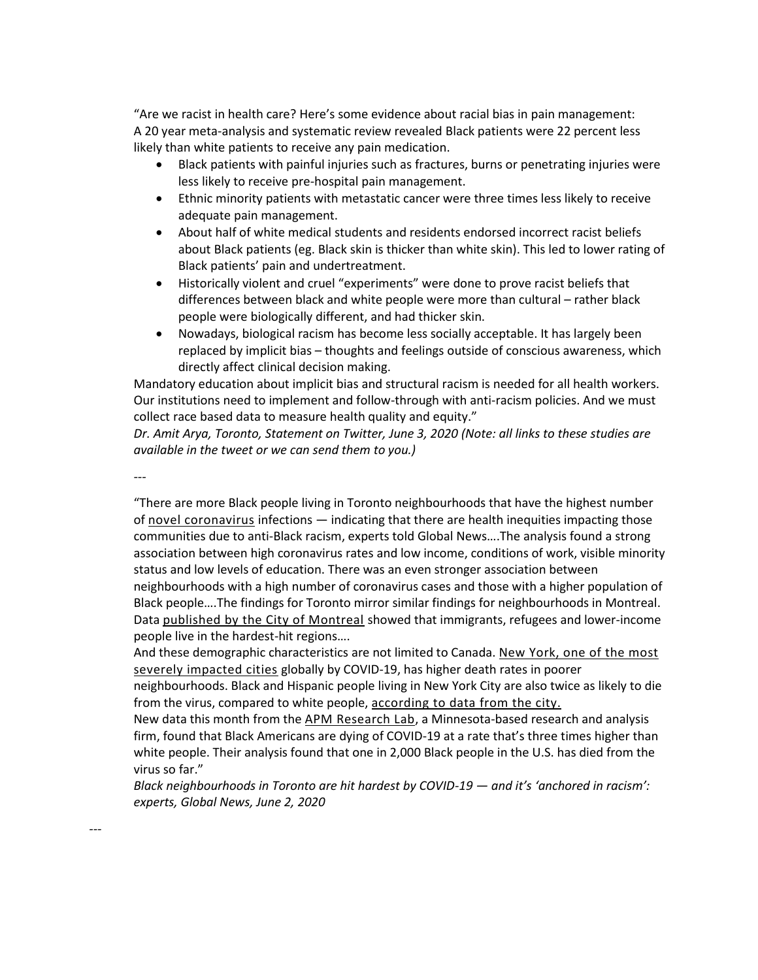"Are we racist in health care? Here's some evidence about racial bias in pain management: A 20 year meta-analysis and systematic review revealed Black patients were 22 percent less likely than white patients to receive any pain medication.

- Black patients with painful injuries such as fractures, burns or penetrating injuries were less likely to receive pre-hospital pain management.
- Ethnic minority patients with metastatic cancer were three times less likely to receive adequate pain management.
- About half of white medical students and residents endorsed incorrect racist beliefs about Black patients (eg. Black skin is thicker than white skin). This led to lower rating of Black patients' pain and undertreatment.
- Historically violent and cruel "experiments" were done to prove racist beliefs that differences between black and white people were more than cultural – rather black people were biologically different, and had thicker skin.
- Nowadays, biological racism has become less socially acceptable. It has largely been replaced by implicit bias – thoughts and feelings outside of conscious awareness, which directly affect clinical decision making.

Mandatory education about implicit bias and structural racism is needed for all health workers. Our institutions need to implement and follow-through with anti-racism policies. And we must collect race based data to measure health quality and equity."

*Dr. Amit Arya, Toronto, Statement on Twitter, June 3, 2020 (Note: all links to these studies are available in the tweet or we can send them to you.)*

*---*

*---*

"There are more Black people living in Toronto neighbourhoods that have the highest number of [novel coronavirus](https://globalnews.ca/tag/coronavirus/) infections - indicating that there are health inequities impacting those communities due to anti-Black racism, experts told Global News….The analysis found a strong association between high coronavirus rates and low income, conditions of work, visible minority status and low levels of education. There was an even stronger association between neighbourhoods with a high number of coronavirus cases and those with a higher population of Black people….The findings for Toronto mirror similar findings for neighbourhoods in Montreal. Data [published by the City of Montreal](https://globalnews.ca/news/6958322/coronavirus-poor-neighbourhoods/) showed that immigrants, refugees and lower-income people live in the hardest-hit regions….

And these demographic characteristics are not limited to Canada. New York, one of the most [severely impacted cities](https://globalnews.ca/news/6957889/new-york-coronavirus-inequality/) globally by COVID-19, has higher death rates in poorer

neighbourhoods. Black and Hispanic people living in New York City are also twice as likely to die from the virus, compared to white people, [according to data from the city.](https://www1.nyc.gov/assets/doh/downloads/pdf/imm/covid-19-deaths-race-ethnicity-04082020-1.pdf)

New data this month from the [APM Research Lab,](https://www.apmresearchlab.org/covid/deaths-by-race) a Minnesota-based research and analysis firm, found that Black Americans are dying of COVID-19 at a rate that's three times higher than white people. Their analysis found that one in 2,000 Black people in the U.S. has died from the virus so far."

*Black neighbourhoods in Toronto are hit hardest by COVID-19 — and it's 'anchored in racism': experts, Global News, June 2, 2020*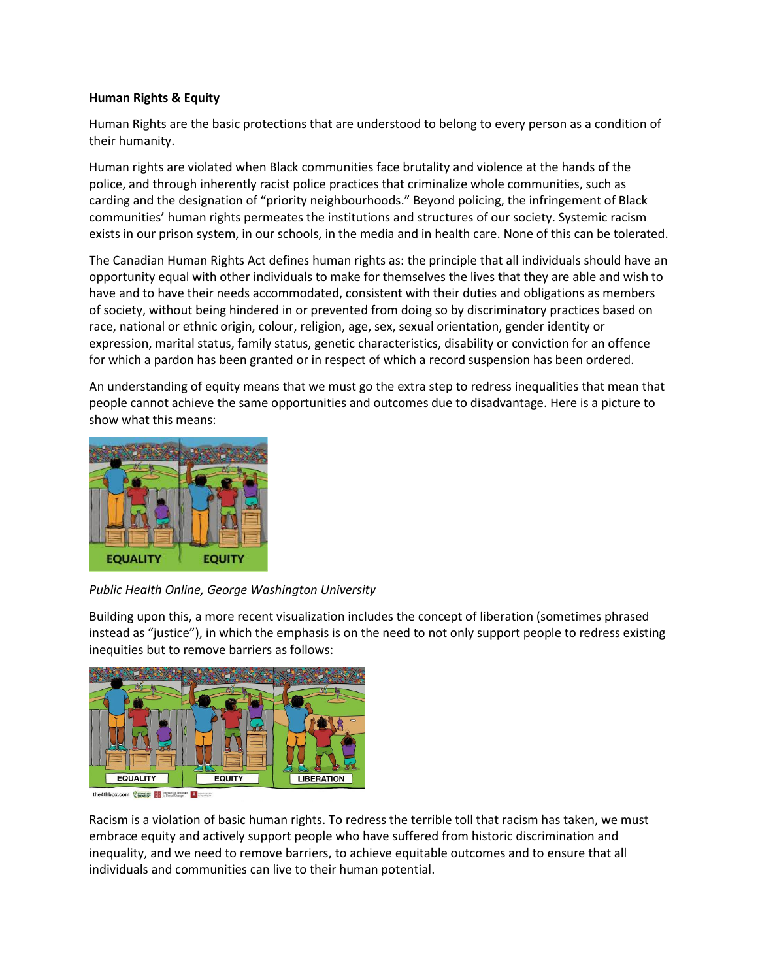### **Human Rights & Equity**

Human Rights are the basic protections that are understood to belong to every person as a condition of their humanity.

Human rights are violated when Black communities face brutality and violence at the hands of the police, and through inherently racist police practices that criminalize whole communities, such as carding and the designation of "priority neighbourhoods." Beyond policing, the infringement of Black communities' human rights permeates the institutions and structures of our society. Systemic racism exists in our prison system, in our schools, in the media and in health care. None of this can be tolerated.

The Canadian Human Rights Act defines human rights as: the principle that all individuals should have an opportunity equal with other individuals to make for themselves the lives that they are able and wish to have and to have their needs accommodated, consistent with their duties and obligations as members of society, without being hindered in or prevented from doing so by discriminatory practices based on race, national or ethnic origin, colour, religion, age, sex, sexual orientation, gender identity or expression, marital status, family status, genetic characteristics, disability or conviction for an offence for which a pardon has been granted or in respect of which a record suspension has been ordered.

An understanding of equity means that we must go the extra step to redress inequalities that mean that people cannot achieve the same opportunities and outcomes due to disadvantage. Here is a picture to show what this means:



## *Public Health Online, George Washington University*

Building upon this, a more recent visualization includes the concept of liberation (sometimes phrased instead as "justice"), in which the emphasis is on the need to not only support people to redress existing inequities but to remove barriers as follows:



the4thbox.com @ 1971 Hall In Section Institute A

Racism is a violation of basic human rights. To redress the terrible toll that racism has taken, we must embrace equity and actively support people who have suffered from historic discrimination and inequality, and we need to remove barriers, to achieve equitable outcomes and to ensure that all individuals and communities can live to their human potential.